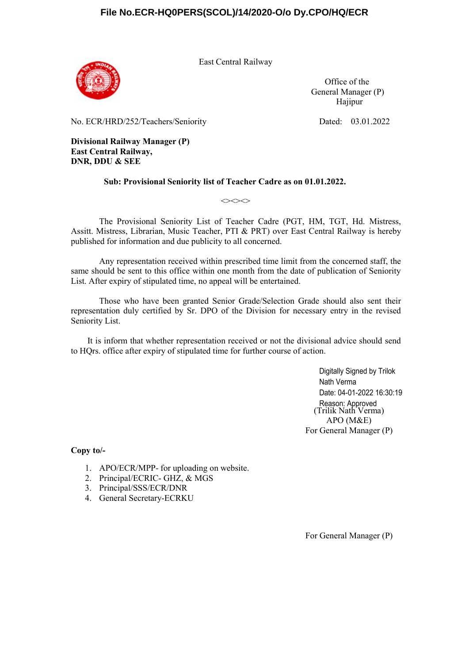

East Central Railway

Office of the General Manager (P) Hajipur

No. ECR/HRD/252/Teachers/Seniority Dated: 03.01.2022

**Divisional Railway Manager (P) East Central Railway, DNR, DDU & SEE**

#### **Sub: Provisional Seniority list of Teacher Cadre as on 01.01.2022.**

 $\Leftrightarrow$ 

The Provisional Seniority List of Teacher Cadre (PGT, HM, TGT, Hd. Mistress, Assitt. Mistress, Librarian, Music Teacher, PTI & PRT) over East Central Railway is hereby published for information and due publicity to all concerned.

Any representation received within prescribed time limit from the concerned staff, the same should be sent to this office within one month from the date of publication of Seniority List. After expiry of stipulated time, no appeal will be entertained.

Those who have been granted Senior Grade/Selection Grade should also sent their representation duly certified by Sr. DPO of the Division for necessary entry in the revised Seniority List.

It is inform that whether representation received or not the divisional advice should send to HOrs. office after expiry of stipulated time for further course of action.

> Digitally Signed by Trilok Nath Verma Date: 04-01-2022 16:30:19 Reason: Approved<br>(Trilik Nath Verma) APO (M&E) For General Manager (P)

**Copy to/-**

- 1. APO/ECR/MPP- for uploading on website.
- 2. Principal/ECRIC- GHZ, & MGS
- 3. Principal/SSS/ECR/DNR
- 4. General Secretary-ECRKU

For General Manager (P)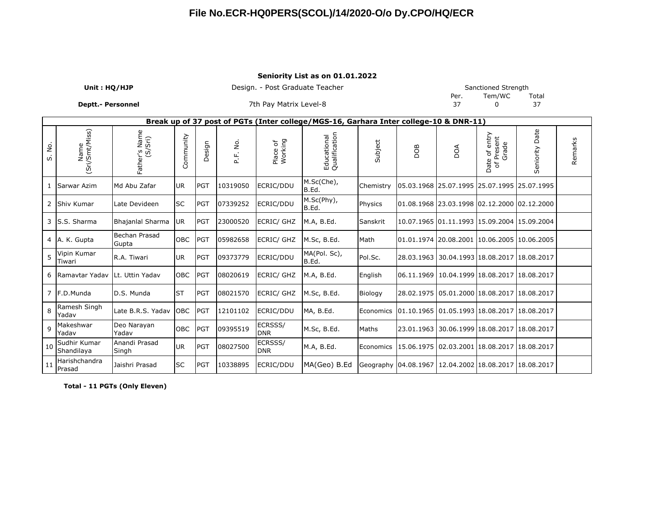#### **Seniority List as on 01.01.2022**

| - -               |                                 |      |                               |       |
|-------------------|---------------------------------|------|-------------------------------|-------|
| Deptt.- Personnel | 7th Pay Matrix Level-8          |      |                               |       |
| Unit: HQ/HJP      | Design. - Post Graduate Teacher | Per. | Sanctioned Strength<br>Tem/WC | Total |
|                   |                                 |      |                               |       |

|              | Break up of 37 post of PGTs (Inter college/MGS-16, Garhara Inter college-10 & DNR-11) |                          |            |            |                    |                       |                              |           |                                                |    |                                                    |                                                               |         |  |  |
|--------------|---------------------------------------------------------------------------------------|--------------------------|------------|------------|--------------------|-----------------------|------------------------------|-----------|------------------------------------------------|----|----------------------------------------------------|---------------------------------------------------------------|---------|--|--|
| ,<br>2<br>s. | Name<br>(Sri/Smt/Miss)                                                                | Father's Name<br>(S/Sri) | Community  | Design     | غ<br>ع<br>ند<br>آھ | Place of<br>Working   | Educational<br>Qualification | Subject   | 80Q                                            | δQ | e of entry<br>Present<br>Grade<br>Date<br>$\sigma$ | Date<br>Seniority                                             | Remarks |  |  |
|              | Sarwar Azim                                                                           | Md Abu Zafar             | UR.        | PGT        | 10319050           | ECRIC/DDU             | M.Sc(Che),<br>B.Ed.          | Chemistry |                                                |    | 05.03.1968 25.07.1995 25.07.1995 25.07.1995        |                                                               |         |  |  |
|              | 2 Shiv Kumar                                                                          | Late Devideen            | <b>SC</b>  | <b>PGT</b> | 07339252           | ECRIC/DDU             | M.Sc(Phy),<br>B.Ed.          | Physics   |                                                |    |                                                    | 01.08.1968 23.03.1998 02.12.2000 02.12.2000                   |         |  |  |
|              | 3 S.S. Sharma                                                                         | Bhajanlal Sharma         | <b>UR</b>  | PGT        | 23000520           | <b>ECRIC/ GHZ</b>     | M.A, B.Ed.                   | Sanskrit  |                                                |    |                                                    | 10.07.1965 01.11.1993 15.09.2004 15.09.2004                   |         |  |  |
|              | 4 A. K. Gupta                                                                         | Bechan Prasad<br>Gupta   | <b>OBC</b> | PGT        | 05982658           | <b>ECRIC/ GHZ</b>     | M.Sc, B.Ed.                  | Math      | 01.01.1974  20.08.2001  10.06.2005  10.06.2005 |    |                                                    |                                                               |         |  |  |
| 5            | Vipin Kumar<br>Tiwari                                                                 | R.A. Tiwari              | UR.        | PGT        | 09373779           | ECRIC/DDU             | MA(Pol. Sc),<br>B.Ed.        | Pol.Sc.   |                                                |    | 28.03.1963 30.04.1993 18.08.2017 18.08.2017        |                                                               |         |  |  |
|              | 6 Ramaytar Yaday                                                                      | Lt. Uttin Yadav          | <b>OBC</b> | <b>PGT</b> | 08020619           | ECRIC/ GHZ            | M.A, B.Ed.                   | English   |                                                |    | 06.11.1969 10.04.1999 18.08.2017 18.08.2017        |                                                               |         |  |  |
|              | 7 F.D.Munda                                                                           | D.S. Munda               | <b>ST</b>  | PGT        | 08021570           | <b>ECRIC/ GHZ</b>     | M.Sc, B.Ed.                  | Biology   |                                                |    | 28.02.1975 05.01.2000 18.08.2017 18.08.2017        |                                                               |         |  |  |
| 8            | Ramesh Singh<br>Yadav                                                                 | Late B.R.S. Yadav OBC    |            | PGT        | 12101102           | ECRIC/DDU             | MA, B.Ed.                    | Economics | 01.10.1965 01.05.1993 18.08.2017 18.08.2017    |    |                                                    |                                                               |         |  |  |
| 9            | Makeshwar<br>Yadav                                                                    | Deo Narayan<br>Yadav     | <b>OBC</b> | PGT        | 09395519           | ECRSSS/<br><b>DNR</b> | M.Sc, B.Ed.                  | Maths     |                                                |    | 23.01.1963 30.06.1999 18.08.2017 18.08.2017        |                                                               |         |  |  |
| 10           | Sudhir Kumar<br>Shandilaya                                                            | Anandi Prasad<br>Singh   | UR.        | PGT        | 08027500           | ECRSSS/<br><b>DNR</b> | M.A, B.Ed.                   | Economics | 15.06.1975 02.03.2001 18.08.2017 18.08.2017    |    |                                                    |                                                               |         |  |  |
| 11           | Harishchandra<br>Prasad                                                               | Jaishri Prasad           | <b>SC</b>  | PGT        | 10338895           | ECRIC/DDU             | MA(Geo) B.Ed                 |           |                                                |    |                                                    | Geography   04.08.1967   12.04.2002   18.08.2017   18.08.2017 |         |  |  |

**Total - 11 PGTs (Only Eleven)**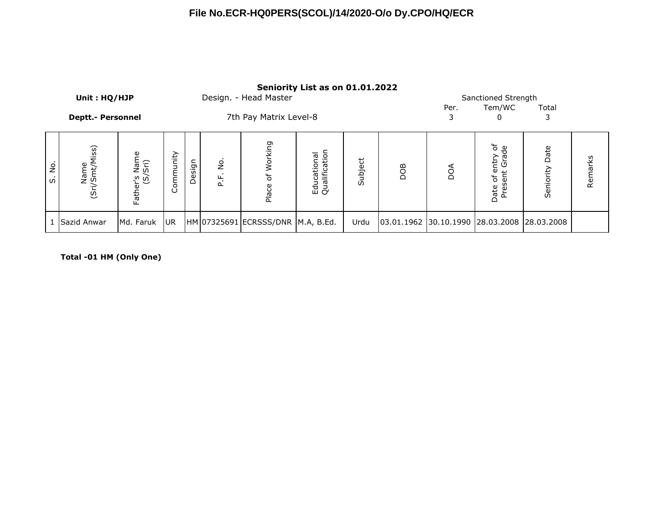|                                      | Unit: HQ/HJP             |                          |                 | Sanctioned Strength |            |                                   |                              |         |                                             |           |                                                     |                |         |
|--------------------------------------|--------------------------|--------------------------|-----------------|---------------------|------------|-----------------------------------|------------------------------|---------|---------------------------------------------|-----------|-----------------------------------------------------|----------------|---------|
|                                      | <b>Deptt.- Personnel</b> |                          |                 |                     |            | 7th Pay Matrix Level-8            |                              |         |                                             | Per.<br>3 | Tem/WC<br>0                                         | Total<br>3     |         |
| $\dot{\mathsf{S}}$<br>$\mathfrak{S}$ | Name<br>(Sri/Smt/Miss)   | Father's Name<br>(S/Sri) | Community       | Design              | غ.<br>P.F. | Working<br>Ⴆ<br>Place             | Educational<br>Qualification | Subject | DOB                                         | DOA       | entry of<br>it Grade<br>Present<br>$\sigma$<br>Date | Seniority Date | Remarks |
|                                      | 1 Sazid Anwar            | Md. Faruk                | UR <sub>1</sub> |                     |            | HM 07325691 ECRSSS/DNR M.A, B.Ed. |                              | Urdu    | 03.01.1962 30.10.1990 28.03.2008 28.03.2008 |           |                                                     |                |         |

**Total -01 HM (Only One)**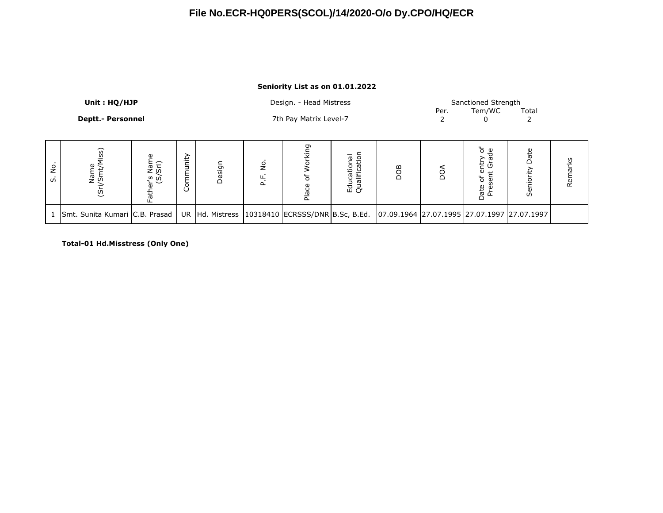#### **Seniority List as on 01.01.2022**

|          | Unit: HQ/HJP                     |                          |             |        |               | Design. - Head Mistress                             |                              |                                             | Per. | Sanctioned Strength<br>Tem/WC                                    | Total               |         |
|----------|----------------------------------|--------------------------|-------------|--------|---------------|-----------------------------------------------------|------------------------------|---------------------------------------------|------|------------------------------------------------------------------|---------------------|---------|
|          | <b>Deptt.- Personnel</b>         |                          |             |        |               | 7th Pay Matrix Level-7                              |                              |                                             |      | 0                                                                |                     |         |
| ġ<br>ui. | SS)<br>Name<br>(Sri/Smt/         | Father's Name<br>(S/Sri) | nity<br>Com | Design | ş<br>۲.<br>P. | ρĻ<br>운                                             | Educational<br>Qualification | <b>BOG</b>                                  | δQ   | င့် မိ<br>ത<br>entr<br>t Gra<br>Ⴆ<br>gg<br>Date<br>Φ<br>$\Omega$ | Date<br>È<br>Senior | Remarks |
|          | 1 Smt. Sunita Kumari C.B. Prasad |                          |             |        |               | UR Hd. Mistress   10318410   ECRSSS/DNR B.Sc, B.Ed. |                              | 07.09.1964 27.07.1995 27.07.1997 27.07.1997 |      |                                                                  |                     |         |

**Total-01 Hd.Misstress (Only One)**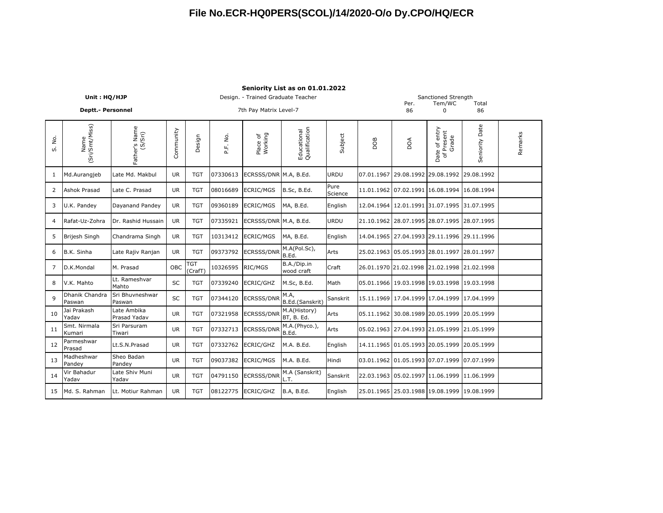|          |                          |                             |            |                       |          |                                    | Seniority List as on 01.01.2022 |                 |            |                                  |                                             |                |         |
|----------|--------------------------|-----------------------------|------------|-----------------------|----------|------------------------------------|---------------------------------|-----------------|------------|----------------------------------|---------------------------------------------|----------------|---------|
|          | Unit: HQ/HJP             |                             |            |                       |          | Design. - Trained Graduate Teacher |                                 |                 |            | Per.                             | Sanctioned Strength<br>Tem/WC               | Total          |         |
|          | <b>Deptt.- Personnel</b> |                             |            |                       |          | 7th Pay Matrix Level-7             |                                 |                 |            | 86                               | $\mathbf 0$                                 | 86             |         |
| ρġ<br>s. | (Sri/Smt/Miss)<br>Name   | Father's Name<br>(S/Sri)    | Community  | Design                | P.F. No. | Place of<br>Working                | Educational<br>Qualification    | Subject         | BOO        | DOA                              | Date of entry<br>of Present<br>Grade        | Seniority Date | Remarks |
| 1        | Md.Aurangjeb             | Late Md. Makbul             | <b>UR</b>  | <b>TGT</b>            | 07330613 | ECRSSS/DNR M.A, B.Ed.              |                                 | <b>URDU</b>     | 07.01.1967 | 29.08.1992 29.08.1992            |                                             | 29.08.1992     |         |
| 2        | Ashok Prasad             | Late C. Prasad              | <b>UR</b>  | <b>TGT</b>            | 08016689 | <b>ECRIC/MGS</b>                   | B.Sc, B.Ed.                     | Pure<br>Science | 11.01.1962 |                                  | 07.02.1991 16.08.1994 16.08.1994            |                |         |
| 3        | U.K. Pandey              | Dayanand Pandey             | <b>UR</b>  | <b>TGT</b>            | 09360189 | <b>ECRIC/MGS</b>                   | MA, B.Ed.                       | English         |            |                                  | 12.04.1964 12.01.1991 31.07.1995 31.07.1995 |                |         |
| 4        | Rafat-Uz-Zohra           | Dr. Rashid Hussain          | <b>UR</b>  | <b>TGT</b>            | 07335921 | ECRSSS/DNR M.A, B.Ed.              |                                 | <b>URDU</b>     | 21.10.1962 | 28.07.1995 28.07.1995            |                                             | 28.07.1995     |         |
| 5        | Brijesh Singh            | Chandrama Singh             | <b>UR</b>  | <b>TGT</b>            | 10313412 | <b>ECRIC/MGS</b>                   | MA, B.Ed.                       | English         |            |                                  | 14.04.1965 27.04.1993 29.11.1996 29.11.1996 |                |         |
| 6        | B.K. Sinha               | Late Rajiv Ranjan           | <b>UR</b>  | <b>TGT</b>            | 09373792 | <b>ECRSSS/DNR</b>                  | M.A(Pol.Sc),<br>B.Ed.           | Arts            |            | 25.02.1963 05.05.1993 28.01.1997 |                                             | 28.01.1997     |         |
| 7        | D.K.Mondal               | M. Prasad                   | <b>OBC</b> | <b>TGT</b><br>(CrafT) | 10326595 | RIC/MGS                            | B.A./Dip.in<br>wood craft       | Craft           |            |                                  | 26.01.1970 21.02.1998 21.02.1998 21.02.1998 |                |         |
| 8        | V.K. Mahto               | Lt. Rameshvar<br>Mahto      | SC         | <b>TGT</b>            | 07339240 | <b>ECRIC/GHZ</b>                   | M.Sc, B.Ed.                     | Math            |            |                                  | 05.01.1966 19.03.1998 19.03.1998 19.03.1998 |                |         |
| 9        | Dhanik Chandra<br>Paswan | Sri Bhuvneshwar<br>Paswan   | SC         | <b>TGT</b>            | 07344120 | <b>ECRSSS/DNR</b>                  | M.A,<br>B.Ed.(Sanskrit)         | Sanskrit        |            |                                  | 15.11.1969 17.04.1999 17.04.1999 17.04.1999 |                |         |
| 10       | Jai Prakash<br>Yadav     | Late Ambika<br>Prasad Yadav | <b>UR</b>  | <b>TGT</b>            | 07321958 | <b>ECRSSS/DNR</b>                  | M.A(History)<br>BT, B. Ed.      | Arts            | 05.11.1962 |                                  | 30.08.1989 20.05.1999 20.05.1999            |                |         |
| 11       | Smt. Nirmala<br>Kumari   | Sri Parsuram<br>Tiwari      | <b>UR</b>  | <b>TGT</b>            | 07332713 | <b>ECRSSS/DNR</b>                  | M.A.(Phyco.),<br>B.Ed.          | Arts            | 05.02.1963 |                                  | 27.04.1993 21.05.1999 21.05.1999            |                |         |
| 12       | Parmeshwar<br>Prasad     | Lt.S.N.Prasad               | <b>UR</b>  | <b>TGT</b>            | 07332762 | ECRIC/GHZ                          | M.A. B.Ed.                      | English         |            | 14.11.1965 01.05.1993 20.05.1999 |                                             | 20.05.1999     |         |
| 13       | Madheshwar<br>Pandey     | Sheo Badan<br>Pandey        | <b>UR</b>  | <b>TGT</b>            | 09037382 | <b>ECRIC/MGS</b>                   | M.A. B.Ed.                      | Hindi           |            |                                  | 03.01.1962 01.05.1993 07.07.1999 07.07.1999 |                |         |
| 14       | Vir Bahadur<br>Yadav     | Late Shiv Muni<br>Yadav     | <b>UR</b>  | <b>TGT</b>            | 04791150 | <b>ECRSSS/DNR</b>                  | M.A (Sanskrit)<br>L.T.          | Sanskrit        |            |                                  | 22.03.1963 05.02.1997 11.06.1999 11.06.1999 |                |         |
| 15       | Md. S. Rahman            | Lt. Motiur Rahman           | <b>UR</b>  | <b>TGT</b>            | 08122775 | ECRIC/GHZ                          | B.A, B.Ed.                      | English         |            |                                  | 25.01.1965 25.03.1988 19.08.1999 19.08.1999 |                |         |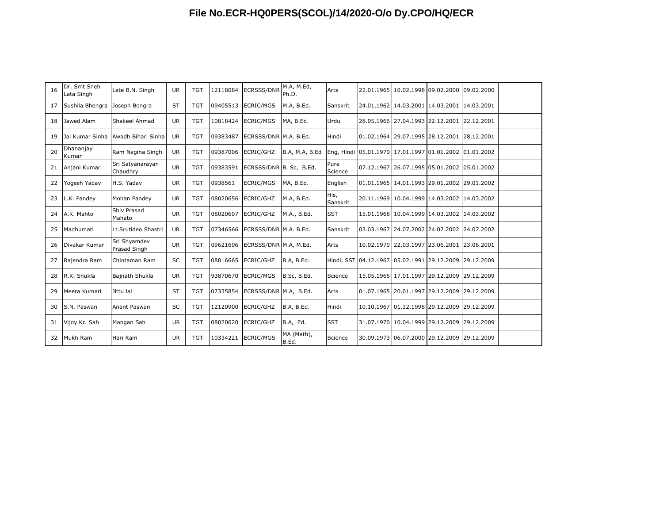| 16 | Dr. Smt Sneh<br>Lata Singh    | Late B.N. Singh                    | <b>UR</b> | <b>TGT</b> | 12118084 | <b>ECRSSS/DNR</b>       | M.A, M.Ed,<br>Ph.D. | Arts             |  | 22.01.1965 10.02.1998 09.02.2000 09.02.2000            |  |
|----|-------------------------------|------------------------------------|-----------|------------|----------|-------------------------|---------------------|------------------|--|--------------------------------------------------------|--|
| 17 | Sushila Bhengra Joseph Bengra |                                    | <b>ST</b> | <b>TGT</b> | 09405513 | <b>ECRIC/MGS</b>        | M.A, B.Ed.          | Sanskrit         |  | 24.01.1962 14.03.2001 14.03.2001 14.03.2001            |  |
| 18 | Jawed Alam                    | Shakeel Ahmad                      | <b>UR</b> | <b>TGT</b> | 10818424 | <b>ECRIC/MGS</b>        | MA, B.Ed.           | Urdu             |  | 28.05.1966 27.04.1993 22.12.2001 22.12.2001            |  |
| 19 |                               | Jai Kumar Sinha Awadh Bihari Sinha | <b>UR</b> | <b>TGT</b> | 09383487 | ECRSSS/DNR M.A. B.Ed.   |                     | Hindi            |  | 01.02.1964 29.07.1995 28.12.2001 28.12.2001            |  |
| 20 | Dhananjay<br>Kumar            | Ram Nagina Singh                   | <b>UR</b> | <b>TGT</b> | 09387006 | ECRIC/GHZ               | B.A, M.A, B.Ed      |                  |  | Eng, Hindi 05.01.1970 17.01.1997 01.01.2002 01.01.2002 |  |
| 21 | Anjani Kumar                  | Sri Satyanarayan<br>Chaudhry       | <b>UR</b> | <b>TGT</b> | 09383591 | ECRSSS/DNR B. Sc, B.Ed. |                     | Pure<br>Science  |  | 07.12.1967 26.07.1995 05.01.2002 05.01.2002            |  |
| 22 | Yogesh Yadav                  | H.S. Yadav                         | <b>UR</b> | <b>TGT</b> | 0938561  | <b>ECRIC/MGS</b>        | MA, B.Ed.           | English          |  | 01.01.1965 14.01.1993 29.01.2002 29.01.2002            |  |
| 23 | L.K. Pandey                   | Mohan Pandey                       | <b>UR</b> | <b>TGT</b> | 08020656 | ECRIC/GHZ               | M.A, B.Ed.          | His,<br>Sanskrit |  | 20.11.1969 10.04.1999 14.03.2002 14.03.2002            |  |
| 24 | A.K. Mahto                    | Shiv Prasad<br>Mahato              | <b>UR</b> | <b>TGT</b> | 08020607 | ECRIC/GHZ               | M.A., B.Ed.         | <b>SST</b>       |  | 15.01.1968 10.04.1999 14.03.2002 14.03.2002            |  |
| 25 | Madhumati                     | Lt.Srutideo Shastri                | <b>UR</b> | <b>TGT</b> | 07346566 | ECRSSS/DNR M.A. B.Ed.   |                     | Sanskrit         |  | 03.03.1967 24.07.2002 24.07.2002 24.07.2002            |  |
| 26 | Divakar Kumar                 | Sri Shyamdev<br>Prasad Singh       | <b>UR</b> | <b>TGT</b> | 09621696 | ECRSSS/DNR M.A, M.Ed.   |                     | Arts             |  | 10.02.1970 22.03.1997 23.06.2001 23.06.2001            |  |
| 27 | Rajendra Ram                  | Chintaman Ram                      | <b>SC</b> | <b>TGT</b> | 08016665 | ECRIC/GHZ               | B.A, B.Ed.          |                  |  | Hindi, SST 04.12.1967 05.02.1991 29.12.2009 29.12.2009 |  |
| 28 | R.K. Shukla                   | Bajnath Shukla                     | <b>UR</b> | <b>TGT</b> | 93870670 | <b>ECRIC/MGS</b>        | B.Sc, B.Ed.         | Science          |  | 15.05.1966 17.01.1997 29.12.2009 29.12.2009            |  |
| 29 | Meera Kumari                  | Jittu lal                          | <b>ST</b> | <b>TGT</b> | 07335854 | ECRSSS/DNR M.A, B.Ed.   |                     | Arts             |  | 01.07.1965 20.01.1997 29.12.2009 29.12.2009            |  |
| 30 | S.N. Paswan                   | Anant Paswan                       | <b>SC</b> | <b>TGT</b> | 12120900 | ECRIC/GHZ               | B.A, B.Ed.          | Hindi            |  | 10.10.1967 01.12.1998 29.12.2009 29.12.2009            |  |
| 31 | Vijoy Kr. Sah                 | Mangan Sah                         | <b>UR</b> | <b>TGT</b> | 08020620 | ECRIC/GHZ               | B.A, Ed.            | <b>SST</b>       |  | 31.07.1970 10.04.1999 29.12.2009 29.12.2009            |  |
| 32 | Mukh Ram                      | Hari Ram                           | <b>UR</b> | <b>TGT</b> | 10334221 | ECRIC/MGS               | MA (Math),<br>B.Ed. | Science          |  | 30.09.1973 06.07.2000 29.12.2009 29.12.2009            |  |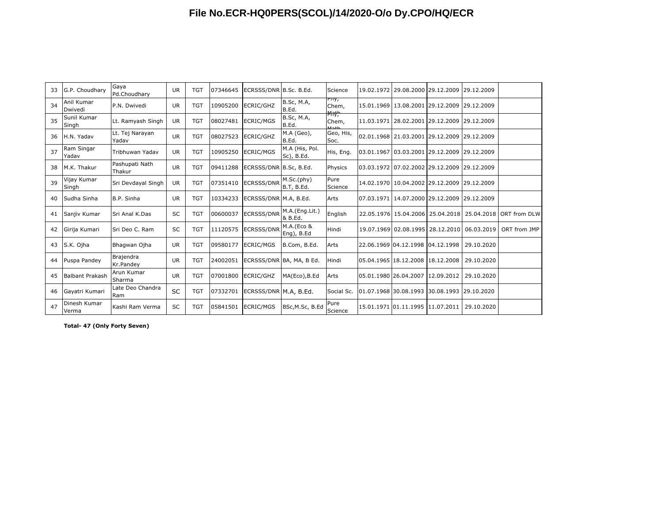| 33 | G.P. Choudhary         | Gaya<br>Pd.Choudharv     | <b>UR</b> | <b>TGT</b> | 07346645 | ECRSSS/DNR B.Sc. B.Ed.   |                              | Science                                |  | 19.02.1972 29.08.2000 29.12.2009 29.12.2009        |                                             |                                                          |
|----|------------------------|--------------------------|-----------|------------|----------|--------------------------|------------------------------|----------------------------------------|--|----------------------------------------------------|---------------------------------------------|----------------------------------------------------------|
| 34 | Anil Kumar<br>Dwivedi  | P.N. Dwivedi             | <b>UR</b> | <b>TGT</b> | 10905200 | ECRIC/GHZ                | <b>B.Sc, M.A,</b><br>B.Ed.   | rny,<br>Chem,                          |  | 15.01.1969 13.08.2001 29.12.2009 29.12.2009        |                                             |                                                          |
| 35 | Sunil Kumar<br>Singh   | Lt. Ramyash Singh        | <b>UR</b> | <b>TGT</b> | 08027481 | <b>ECRIC/MGS</b>         | <b>B.Sc, M.A,</b><br>B.Ed.   | <b>Mnth</b><br>Chem,<br>M <sub>0</sub> |  | 11.03.1971 28.02.2001 29.12.2009 29.12.2009        |                                             |                                                          |
| 36 | H.N. Yadav             | Lt. Tej Narayan<br>Yadav | <b>UR</b> | <b>TGT</b> | 08027523 | ECRIC/GHZ                | M.A (Geo),<br>B.Ed.          | Geo, His,<br>Soc.                      |  | 02.01.1968 21.03.2001 29.12.2009 29.12.2009        |                                             |                                                          |
| 37 | Ram Singar<br>Yadav    | Tribhuwan Yadav          | <b>UR</b> | <b>TGT</b> | 10905250 | <b>ECRIC/MGS</b>         | M.A (His, Pol.<br>Sc), B.Ed. | His, Eng.                              |  | 03.01.1967 03.03.2001 29.12.2009 29.12.2009        |                                             |                                                          |
| 38 | M.K. Thakur            | Pashupati Nath<br>Thakur | UR.       | <b>TGT</b> | 09411288 | ECRSSS/DNR B.Sc, B.Ed.   |                              | Physics                                |  | l03.03.1972   07.02.2002   29.12.2009   29.12.2009 |                                             |                                                          |
| 39 | Vijay Kumar<br>Singh   | Sri Devdayal Singh       | <b>UR</b> | <b>TGT</b> | 07351410 | ECRSSS/DNR               | M.Sc.(phy)<br>B.T, B.Ed.     | Pure<br>Science                        |  | 14.02.1970 10.04.2002 29.12.2009 29.12.2009        |                                             |                                                          |
| 40 | Sudha Sinha            | B.P. Sinha               | <b>UR</b> | <b>TGT</b> | 10334233 | ECRSSS/DNR M.A, B.Ed.    |                              | Arts                                   |  | 07.03.1971 14.07.2000 29.12.2009 29.12.2009        |                                             |                                                          |
| 41 | Sanjiy Kumar           | Sri Anal K.Das           | <b>SC</b> | <b>TGT</b> | 00600037 | <b>ECRSSS/DNR</b>        | M.A.(Eng.Lit.)<br>& B.Ed.    | English                                |  |                                                    |                                             | 22.05.1976 15.04.2006 25.04.2018 25.04.2018 ORT from DLW |
| 42 | Girija Kumari          | Sri Deo C. Ram           | <b>SC</b> | <b>TGT</b> | 11120575 | <b>ECRSSS/DNR</b>        | M.A.(Eco &<br>Eng), B.Ed     | Hindi                                  |  |                                                    | 19.07.1969 02.08.1995 28.12.2010 06.03.2019 | ORT from JMP                                             |
| 43 | S.K. Ojha              | Bhagwan Ojha             | <b>UR</b> | <b>TGT</b> | 09580177 | <b>ECRIC/MGS</b>         | B.Com, B.Ed.                 | Arts                                   |  | 22.06.1969 04.12.1998 04.12.1998                   | 29.10.2020                                  |                                                          |
| 44 | Puspa Pandey           | Brajendra<br>Kr.Pandev   | <b>UR</b> | <b>TGT</b> | 24002051 | ECRSSS/DNR BA, MA, B Ed. |                              | Hindi                                  |  | 05.04.1965 18.12.2008 18.12.2008                   | 29.10.2020                                  |                                                          |
| 45 | <b>Balbant Prakash</b> | Arun Kumar<br>Sharma     | <b>UR</b> | <b>TGT</b> | 07001800 | ECRIC/GHZ                | MA(Eco), B.Ed                | Arts                                   |  | 05.01.1980 26.04.2007 12.09.2012                   | 29.10.2020                                  |                                                          |
| 46 | Gayatri Kumari         | Late Deo Chandra<br>Ram  | <b>SC</b> | <b>TGT</b> | 07332701 | ECRSSS/DNR M.A. B.Ed.    |                              | Social Sc.                             |  | 01.07.1968 30.08.1993 30.08.1993 29.10.2020        |                                             |                                                          |
| 47 | Dinesh Kumar<br>Verma  | Kashi Ram Verma          | <b>SC</b> | <b>TGT</b> | 05841501 | <b>ECRIC/MGS</b>         | BSc, M.Sc, B.Ed              | Pure<br>Science                        |  | 15.01.1971 01.11.1995 11.07.2011                   | 29.10.2020                                  |                                                          |

**Total- 47 (Only Forty Seven)**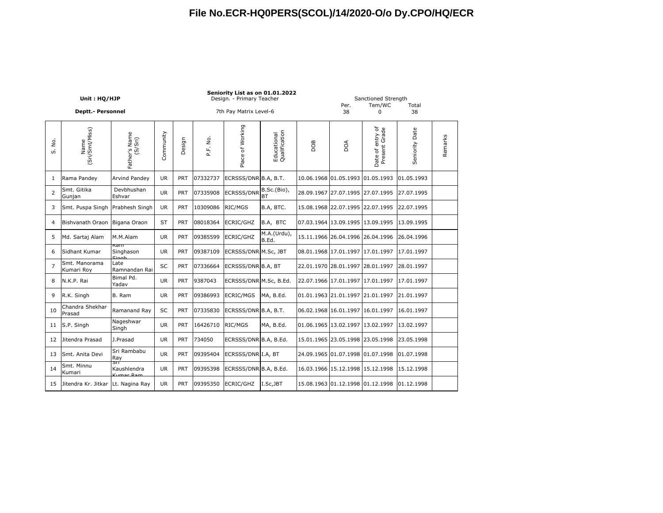|                | Unit: HQ/HJP<br><b>Deptt.- Personnel</b> |                                  |           |            |          | Seniority List as on 01.01.2022<br>Design. - Primary Teacher<br>7th Pay Matrix Level-6 |                              |     | Per.<br>38                       | Sanctioned Strength<br>Tem/WC<br>0 | Total<br>38    |         |
|----------------|------------------------------------------|----------------------------------|-----------|------------|----------|----------------------------------------------------------------------------------------|------------------------------|-----|----------------------------------|------------------------------------|----------------|---------|
| ρò.<br>ທ່      | (Sri/Smt/Miss)<br>Name                   | Father's Name<br>(S/Sri)         | Community | Design     | P.F. No. | Place of Working                                                                       | Educational<br>Qualification | BOG | DOA                              | Date of entry of<br>Present Grade  | Seniority Date | Remarks |
| 1              | Rama Pandey                              | <b>Arvind Pandev</b>             | <b>UR</b> | <b>PRT</b> | 07332737 | ECRSSS/DNR B.A, B.T.                                                                   |                              |     | 10.06.1968 01.05.1993 01.05.1993 |                                    | 01.05.1993     |         |
| 2              | Smt. Gitika<br>Gunjan                    | Devbhushan<br>Eshvar             | <b>UR</b> | PRT        | 07335908 | <b>ECRSSS/DNR</b>                                                                      | B.Sc.(Bio),<br>BT            |     | 28.09.1967 27.07.1995 27.07.1995 |                                    | 27.07.1995     |         |
| 3              | Smt. Puspa Singh Prabhesh Singh          |                                  | <b>UR</b> | <b>PRT</b> | 10309086 | RIC/MGS                                                                                | B.A, BTC.                    |     | 15.08.1968 22.07.1995 22.07.1995 |                                    | 22.07.1995     |         |
| 4              | Bishvanath Oraon Bigana Oraon            |                                  | ST        | <b>PRT</b> | 08018364 | <b>ECRIC/GHZ</b>                                                                       | B.A, BTC                     |     | 07.03.1964 13.09.1995 13.09.1995 |                                    | 13.09.1995     |         |
| 5              | Md. Sartaj Alam                          | M.M.Alam                         | UR.       | <b>PRT</b> | 09385599 | <b>ECRIC/GHZ</b>                                                                       | M.A.(Urdu),<br>B.Ed.         |     | 15.11.1966 26.04.1996 26.04.1996 |                                    | 26.04.1996     |         |
| 6              | Sidhant Kumar                            | Kam<br>Singhason<br><b>Cinak</b> | <b>UR</b> | <b>PRT</b> | 09387109 | ECRSSS/DNR M.Sc, JBT                                                                   |                              |     | 08.01.1968 17.01.1997 17.01.1997 |                                    | 17.01.1997     |         |
| $\overline{7}$ | Smt. Manorama<br>Kumari Roy              | Late<br>Ramnandan Rai            | SC        | <b>PRT</b> | 07336664 | ECRSSS/DNR B.A, BT                                                                     |                              |     | 22.01.1970 28.01.1997 28.01.1997 |                                    | 28.01.1997     |         |
| 8              | N.K.P. Rai                               | Bimal Pd.<br>Yadav               | <b>UR</b> | PRT        | 9387043  | ECRSSS/DNR M.Sc, B.Ed.                                                                 |                              |     |                                  | 22.07.1966 17.01.1997 17.01.1997   | 17.01.1997     |         |
| 9              | R.K. Singh                               | B. Ram                           | <b>UR</b> | PRT        | 09386993 | <b>ECRIC/MGS</b>                                                                       | MA, B.Ed.                    |     |                                  | 01.01.1963 21.01.1997 21.01.1997   | 21.01.1997     |         |
| 10             | Chandra Shekhar<br>Prasad                | Ramanand Ray                     | SC        | <b>PRT</b> | 07335830 | ECRSSS/DNR B.A, B.T.                                                                   |                              |     |                                  | 06.02.1968 16.01.1997 16.01.1997   | 16.01.1997     |         |
| 11             | S.P. Singh                               | Nageshwar<br>Singh               | <b>UR</b> | PRT        | 16426710 | RIC/MGS                                                                                | MA, B.Ed.                    |     | 01.06.1965 13.02.1997 13.02.1997 |                                    | 13.02.1997     |         |
| 12             | Jitendra Prasad                          | J.Prasad                         | <b>UR</b> | <b>PRT</b> | 734050   | ECRSSS/DNR B.A, B.Ed.                                                                  |                              |     | 15.01.1965 23.05.1998 23.05.1998 |                                    | 23.05.1998     |         |
| 13             | Smt. Anita Devi                          | Sri Rambabu<br>Ray               | <b>UR</b> | PRT        | 09395404 | ECRSSS/DNR I.A, BT                                                                     |                              |     | 24.09.1965 01.07.1998 01.07.1998 |                                    | 01.07.1998     |         |
| 14             | Smt. Minnu<br>Kumari                     | SП<br>Kaushlendra<br>Kumar Dam   | UR.       | <b>PRT</b> | 09395398 | ECRSSS/DNR B.A, B.Ed.                                                                  |                              |     | 16.03.1966 15.12.1998 15.12.1998 |                                    | 15.12.1998     |         |
| 15             | Jitendra Kr. Jitkar Lt. Nagina Ray       |                                  | <b>UR</b> | PRT        | 09395350 | ECRIC/GHZ                                                                              | I.Sc, JBT                    |     |                                  | 15.08.1963 01.12.1998 01.12.1998   | 01.12.1998     |         |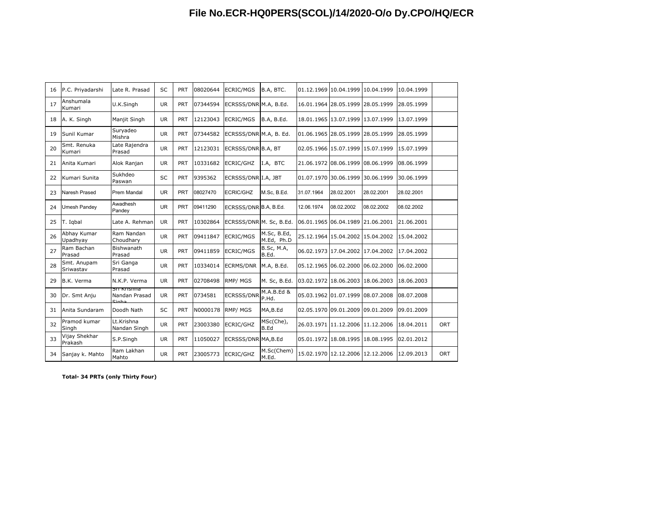| 16 | P.C. Priyadarshi         | Late R. Prasad                                  | SC        | PRT        | 08020644 | ECRIC/MGS               | B.A, BTC.                  |            | 01.12.1969 10.04.1999            | 10.04.1999 | 10.04.1999 |     |
|----|--------------------------|-------------------------------------------------|-----------|------------|----------|-------------------------|----------------------------|------------|----------------------------------|------------|------------|-----|
| 17 | Anshumala<br>Kumari      | U.K.Singh                                       | <b>UR</b> | PRT        | 07344594 | ECRSSS/DNR M.A, B.Ed.   |                            |            | 16.01.1964 28.05.1999 28.05.1999 |            | 28.05.1999 |     |
| 18 | A. K. Singh              | Maniit Singh                                    | <b>UR</b> | <b>PRT</b> | 12123043 | ECRIC/MGS               | B.A. B.Ed.                 |            | 18.01.1965 13.07.1999 13.07.1999 |            | 13.07.1999 |     |
| 19 | Sunil Kumar              | Suryadeo<br>Mishra                              | <b>UR</b> | PRT        | 07344582 | ECRSSS/DNR M.A, B. Ed.  |                            |            | 01.06.1965 28.05.1999 28.05.1999 |            | 28.05.1999 |     |
| 20 | Smt. Renuka<br>Kumari    | Late Rajendra<br>Prasad                         | <b>UR</b> | <b>PRT</b> | 12123031 | ECRSSS/DNR B.A, BT      |                            |            | 02.05.1966 15.07.1999 15.07.1999 |            | 15.07.1999 |     |
| 21 | Anita Kumari             | Alok Ranjan                                     | <b>UR</b> | PRT        | 10331682 | ECRIC/GHZ               | I.A, BTC                   |            | 21.06.1972 08.06.1999 08.06.1999 |            | 08.06.1999 |     |
| 22 | Kumari Sunita            | Sukhdeo<br>Paswan                               | <b>SC</b> | <b>PRT</b> | 9395362  | ECRSSS/DNR I.A, JBT     |                            |            | 01.07.1970 30.06.1999 30.06.1999 |            | 30.06.1999 |     |
| 23 | Naresh Prased            | Prem Mandal                                     | <b>UR</b> | PRT        | 08027470 | <b>ECRIC/GHZ</b>        | M.Sc, B.Ed.                | 31.07.1964 | 28.02.2001                       | 28.02.2001 | 28.02.2001 |     |
| 24 | Umesh Pandey             | Awadhesh<br>Pandey                              | <b>UR</b> | <b>PRT</b> | 09411290 | ECRSSS/DNR B.A. B.Ed.   |                            | 12.06.1974 | 08.02.2002                       | 08.02.2002 | 08.02.2002 |     |
| 25 | T. Igbal                 | Late A. Rehman                                  | <b>UR</b> | <b>PRT</b> | 10302864 | ECRSSS/DNR M. Sc, B.Ed. |                            |            | 06.01.1965 06.04.1989 21.06.2001 |            | 21.06.2001 |     |
| 26 | Abhay Kumar<br>Upadhyay  | Ram Nandan<br>Choudhary                         | <b>UR</b> | PRT        | 09411847 | <b>ECRIC/MGS</b>        | M.Sc, B.Ed,<br>M.Ed, Ph.D  |            | 25.12.1964 15.04.2002 15.04.2002 |            | 15.04.2002 |     |
| 27 | Ram Bachan<br>Prasad     | Bishwanath<br>Prasad                            | <b>UR</b> | <b>PRT</b> | 09411859 | ECRIC/MGS               | <b>B.Sc, M.A,</b><br>B.Ed. |            | 06.02.1973 17.04.2002 17.04.2002 |            | 17.04.2002 |     |
| 28 | Smt. Anupam<br>Sriwastav | Sri Ganga<br>Prasad                             | <b>UR</b> | PRT        | 10334014 | <b>ECRMS/DNR</b>        | M.A, B.Ed.                 |            | 05.12.1965 06.02.2000 06.02.2000 |            | 06.02.2000 |     |
| 29 | B.K. Verma               | N.K.P. Verma                                    | <b>UR</b> | PRT        | 02708498 | RMP/MGS                 | M. Sc, B.Ed.               |            | 03.02.1972 18.06.2003 18.06.2003 |            | 18.06.2003 |     |
| 30 | Dr. Smt Anju             | <b>SIL NHSHII</b> d<br>Nandan Prasad<br>$Cinh-$ | <b>UR</b> | <b>PRT</b> | 0734581  | <b>ECRSSS/DNR</b>       | M.A.B.Ed &<br>P.Hd.        |            | 05.03.1962 01.07.1999 08.07.2008 |            | 08.07.2008 |     |
| 31 | Anita Sundaram           | Doodh Nath                                      | <b>SC</b> | <b>PRT</b> | N0000178 | RMP/MGS                 | MA, B.Ed                   |            | 02.05.1970 09.01.2009 09.01.2009 |            | 09.01.2009 |     |
| 32 | Pramod kumar<br>Singh    | Lt.Krishna<br>Nandan Singh                      | <b>UR</b> | <b>PRT</b> | 23003380 | ECRIC/GHZ               | MSc(Che),<br>B.Ed          |            | 26.03.1971 11.12.2006 11.12.2006 |            | 18.04.2011 | ORT |
| 33 | Vijay Shekhar<br>Prakash | S.P.Singh                                       | <b>UR</b> | PRT        | 11050027 | ECRSSS/DNR MA, B.Ed     |                            |            | 05.01.1972 18.08.1995 18.08.1995 |            | 02.01.2012 |     |
| 34 | Sanjay k. Mahto          | Ram Lakhan<br>Mahto                             | <b>UR</b> | <b>PRT</b> | 23005773 | ECRIC/GHZ               | M.Sc(Chem)<br>M.Ed.        |            | 15.02.1970 12.12.2006 12.12.2006 |            | 12.09.2013 | ORT |
|    |                          |                                                 |           |            |          |                         |                            |            |                                  |            |            |     |

**Total- 34 PRTs (only Thirty Four)**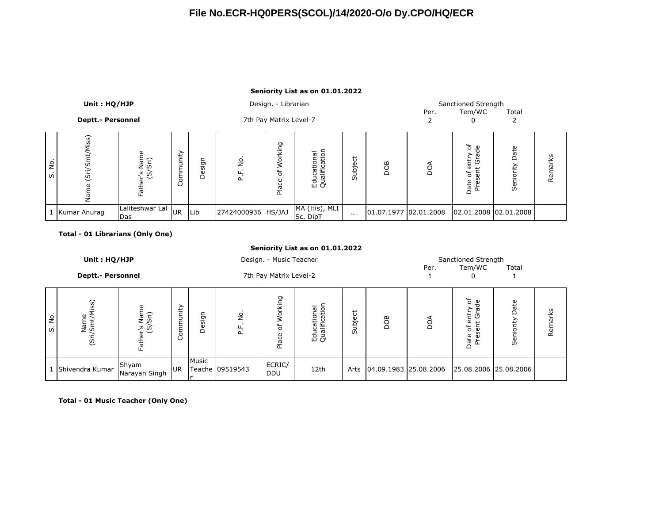#### **Seniority List as on 01.01.2022**

|         | Unit: HQ/HJP             |                          |                    |        |                    | Design. - Librarian    |                                      |             |     |                       | Sanctioned Strength                       |           |         |
|---------|--------------------------|--------------------------|--------------------|--------|--------------------|------------------------|--------------------------------------|-------------|-----|-----------------------|-------------------------------------------|-----------|---------|
|         |                          |                          |                    |        |                    |                        |                                      |             |     | Per.                  | Tem/WC                                    | Total     |         |
|         | <b>Deptt.- Personnel</b> |                          |                    |        |                    | 7th Pay Matrix Level-7 |                                      |             |     |                       |                                           |           |         |
| å<br>ທ່ | Miss)<br>ທັ<br>(Sri)     | Father's Name<br>(S/Sri) | nity<br>⊐<br>Commu | Design | g<br>눈             | Working<br>৳<br>Place  | tior<br>Educational<br>Qualification | ゼ<br>Subjer | DOB | ð                     | ் சூ<br>한 불<br>৳<br>Φ<br>Date<br>$\Omega$ | ate<br>ශී | Remarks |
|         | 1 Kumar Anurag           | Laliteshwar Lal<br>Das   | <b>UR</b>          | Lib    | 27424000936 HS/JAJ |                        | MA (His), MLI<br>Sc. DipT            | $\cdots$    |     | 01.07.1977 02.01.2008 | 02.01.2008 02.01.2008                     |           |         |

#### **Total - 01 Librarians (Only One)**

|         | Seniority List as on 01.01.2022 |                          |           |        |                 |                                   |                              |         |                       |      |                                                                             |                   |         |  |
|---------|---------------------------------|--------------------------|-----------|--------|-----------------|-----------------------------------|------------------------------|---------|-----------------------|------|-----------------------------------------------------------------------------|-------------------|---------|--|
|         | Unit: HQ/HJP                    |                          |           |        |                 | Design. - Music Teacher           |                              |         |                       |      | Sanctioned Strength                                                         |                   |         |  |
|         | <b>Deptt.- Personnel</b>        |                          |           |        |                 | 7th Pay Matrix Level-2            |                              |         |                       | Per. | Tem/WC                                                                      | Total             |         |  |
| å<br>ທ່ | Name<br>(Sri/Smt/Miss)          | Father's Name<br>(S/Sri) | ommunity  | Design | ė,<br>퍞         | Working<br>$\mathcal{P}$<br>Place | Educational<br>Qualification | Subject | DOB                   | DОД  | ntry of<br>Grade<br>$\overline{\mathbf{v}}$<br>sent<br>৳<br>Date<br>تة<br>ط | Date<br>Seniority | Remarks |  |
|         | Shivendra Kumar                 | Shyam<br>Narayan Singh   | <b>UR</b> | Music  | Teache 09519543 | ECRIC/<br><b>IDDU</b>             | 12th                         | Arts    | 04.09.1983 25.08.2006 |      | 25.08.2006 25.08.2006                                                       |                   |         |  |

**Total - 01 Music Teacher (Only One)**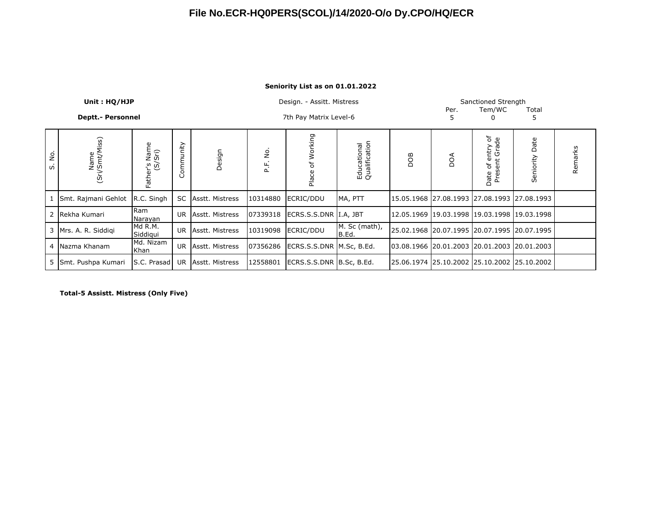#### **Seniority List as on 01.01.2022**

|         | Unit: HQ/HJP             |                               |           |                    |                   | Design. - Assitt. Mistress |                              |     | Per. | Sanctioned Strength<br>Tem/WC                     | Total             |         |
|---------|--------------------------|-------------------------------|-----------|--------------------|-------------------|----------------------------|------------------------------|-----|------|---------------------------------------------------|-------------------|---------|
|         | <b>Deptt.- Personnel</b> |                               |           |                    |                   | 7th Pay Matrix Level-6     |                              |     | 5    |                                                   | 5                 |         |
| ė.<br>w | Name<br>(Sri/Smt/Miss)   | ier's Name<br>(S/Sri)<br>Fath | Community | Design             | <br>2<br>نم<br>نم | Working<br>Ⴆ<br>Place      | Educational<br>Qualification | BOG | DОД  | entry of<br>t Grade<br>sent<br>ჼႣ<br>Date<br>Pres | Date<br>Seniority | Remarks |
|         | 1 Smt. Rajmani Gehlot    | R.C. Singh                    |           | SC Asstt. Mistress | 10314880          | ECRIC/DDU                  | MA, PTT                      |     |      | 15.05.1968 27.08.1993 27.08.1993 27.08.1993       |                   |         |
|         | 2 Rekha Kumari           | Ram<br>Narayan                | UR.       | Asstt. Mistress    | 07339318          | ECRS.S.S.DNR I.A, JBT      |                              |     |      | 12.05.1969 19.03.1998 19.03.1998 19.03.1998       |                   |         |
|         | 3   Mrs. A. R. Siddiqi   | Md R.M.<br>Siddiqui           |           | UR Asstt. Mistress | 10319098          | ECRIC/DDU                  | M. Sc (math),<br>B.Ed.       |     |      | 25.02.1968 20.07.1995 20.07.1995 20.07.1995       |                   |         |
|         | 4 Nazma Khanam           | Md. Nizam<br>Khan             | <b>UR</b> | Asstt. Mistress    | 07356286          | ECRS.S.S.DNR   M.Sc, B.Ed. |                              |     |      | 03.08.1966 20.01.2003 20.01.2003 20.01.2003       |                   |         |
|         | 5 Smt. Pushpa Kumari     | S.C. Prasad                   | UR        | Asstt. Mistress    | 12558801          | ECRS.S.S.DNR   B.Sc, B.Ed. |                              |     |      | 25.06.1974 25.10.2002 25.10.2002 25.10.2002       |                   |         |

**Total-5 Assistt. Mistress (Only Five)**